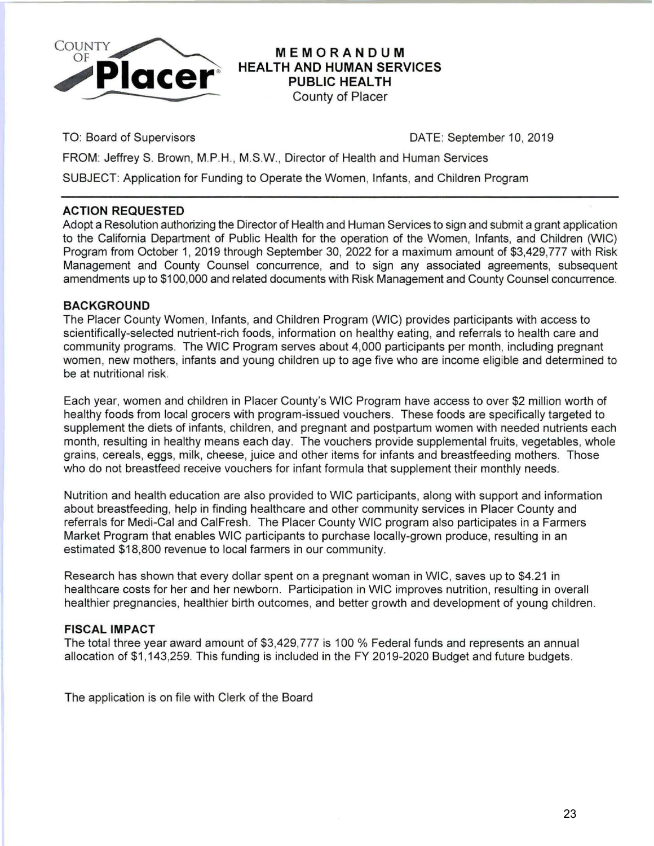

## **MEMORANDUM HEALTH AND HUMAN SERVICES PUBLIC HEALTH**  County of Placer

TO: Board of Supervisors DATE: September 10, 2019

FROM: Jeffrey S. Brown, M.P.H., M.S.W., Director of Health and Human Services

SUBJECT: Application for Funding to Operate the Women, Infants, and Children Program

### **ACTION REQUESTED**

Adopt a Resolution authorizing the Director of Health and Human Services to sign and submit a grant application to the California Department of Public Health for the operation of the Women, Infants, and Children (WIC) Program from October 1, 2019 through September 30, 2022 for a maximum amount of \$3,429,777 with Risk Management and County Counsel concurrence, and to sign any associated agreements, subsequent amendments up to \$100,000 and related documents with Risk Management and County Counsel concurrence.

## **BACKGROUND**

The Placer County Women, Infants, and Children Program (WIC) provides participants with access to scientifically-selected nutrient-rich foods, information on healthy eating, and referrals to health care and community programs. The WIC Program serves about 4,000 participants per month, including pregnant women, new mothers, infants and young children up to age five who are income eligible and determined to be at nutritional risk.

Each year, women and children in Placer County's WIC Program have access to over \$2 million worth of healthy foods from local grocers with program-issued vouchers. These foods are specifically targeted to supplement the diets of infants, children, and pregnant and postpartum women with needed nutrients each month, resulting in healthy means each day. The vouchers provide supplemental fruits, vegetables, whole grains, cereals, eggs, milk, cheese, juice and other items for infants and breastfeeding mothers. Those who do not breastfeed receive vouchers for infant formula that supplement their monthly needs.

Nutrition and health education are also provided to WIC participants, along with support and information about breastfeeding, help in finding healthcare and other community services in Placer County and referrals for Medi-Cal and CaiFresh. The Placer County WIC program also participates in a Farmers Market Program that enables WIC participants to purchase locally-grown produce, resulting in an estimated \$18,800 revenue to local farmers in our community.

Research has shown that every dollar spent on a pregnant woman in WIC, saves up to \$4.21 in healthcare costs for her and her newborn. Participation in WIC improves nutrition, resulting in overall healthier pregnancies, healthier birth outcomes, and better growth and development of young children.

### **FISCAL IMPACT**

The total three year award amount of \$3,429,777 is 100 % Federal funds and represents an annual allocation of \$1,143,259. This funding is included in the FY 2019-2020 Budget and future budgets.

The application is on file with Clerk of the Board